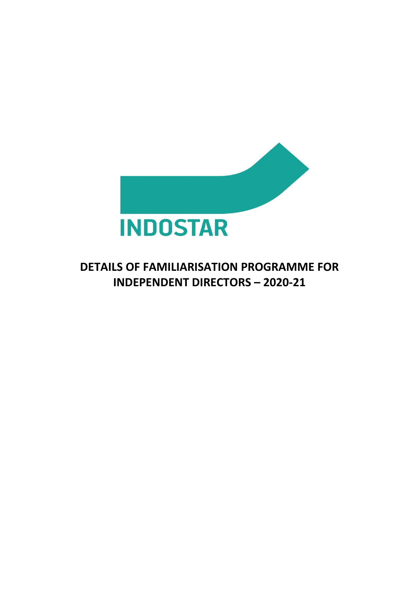

## **DETAILS OF FAMILIARISATION PROGRAMME FOR INDEPENDENT DIRECTORS – 2020-21**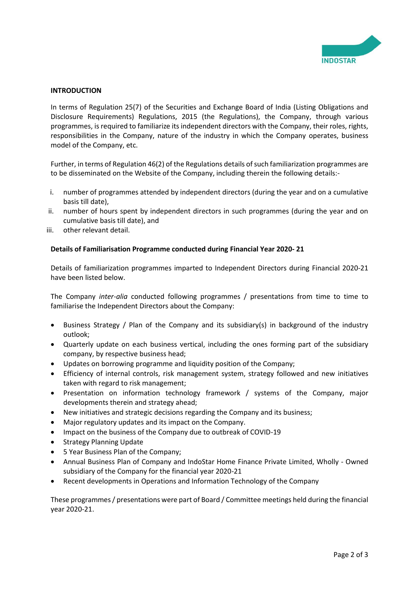

## **INTRODUCTION**

In terms of Regulation 25(7) of the Securities and Exchange Board of India (Listing Obligations and Disclosure Requirements) Regulations, 2015 (the Regulations), the Company, through various programmes, is required to familiarize its independent directors with the Company, their roles, rights, responsibilities in the Company, nature of the industry in which the Company operates, business model of the Company, etc.

Further, in terms of Regulation 46(2) of the Regulations details of such familiarization programmes are to be disseminated on the Website of the Company, including therein the following details:-

- i. number of programmes attended by independent directors (during the year and on a cumulative basis till date),
- ii. number of hours spent by independent directors in such programmes (during the year and on cumulative basis till date), and
- iii. other relevant detail.

## **Details of Familiarisation Programme conducted during Financial Year 2020- 21**

Details of familiarization programmes imparted to Independent Directors during Financial 2020-21 have been listed below.

The Company *inter-alia* conducted following programmes / presentations from time to time to familiarise the Independent Directors about the Company:

- Business Strategy / Plan of the Company and its subsidiary(s) in background of the industry outlook;
- Quarterly update on each business vertical, including the ones forming part of the subsidiary company, by respective business head;
- Updates on borrowing programme and liquidity position of the Company;
- Efficiency of internal controls, risk management system, strategy followed and new initiatives taken with regard to risk management;
- Presentation on information technology framework / systems of the Company, major developments therein and strategy ahead;
- New initiatives and strategic decisions regarding the Company and its business;
- Major regulatory updates and its impact on the Company.
- Impact on the business of the Company due to outbreak of COVID-19
- **Strategy Planning Update**
- 5 Year Business Plan of the Company;
- Annual Business Plan of Company and IndoStar Home Finance Private Limited, Wholly Owned subsidiary of the Company for the financial year 2020-21
- Recent developments in Operations and Information Technology of the Company

These programmes / presentations were part of Board / Committee meetings held during the financial year 2020-21.